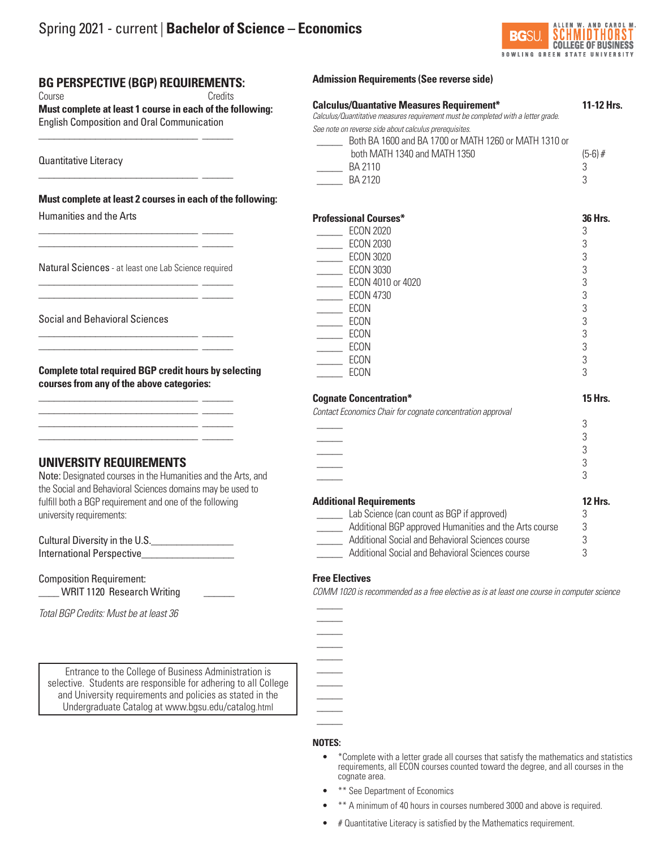

# **BG PERSPECTIVE (BGP) REQUIREMENTS:**

\_\_\_\_\_\_\_\_\_\_\_\_\_\_\_\_\_\_\_\_\_\_\_\_\_\_\_\_\_\_\_ \_\_\_\_\_\_

\_\_\_\_\_\_\_\_\_\_\_\_\_\_\_\_\_\_\_\_\_\_\_\_\_\_\_\_\_\_\_ \_\_\_\_\_\_

Course Credits **Must complete at least 1 course in each of the following:**  English Composition and Oral Communication

Quantitative Literacy

## **Must complete at least 2 courses in each of the following:**

Humanities and the Arts

Natural Sciences - at least one Lab Science required \_\_\_\_\_\_\_\_\_\_\_\_\_\_\_\_\_\_\_\_\_\_\_\_\_\_\_\_\_\_\_ \_\_\_\_\_\_

\_\_\_\_\_\_\_\_\_\_\_\_\_\_\_\_\_\_\_\_\_\_\_\_\_\_\_\_\_\_\_ \_\_\_\_\_\_

\_\_\_\_\_\_\_\_\_\_\_\_\_\_\_\_\_\_\_\_\_\_\_\_\_\_\_\_\_\_\_ \_\_\_\_\_\_ \_\_\_\_\_\_\_\_\_\_\_\_\_\_\_\_\_\_\_\_\_\_\_\_\_\_\_\_\_\_\_ \_\_\_\_\_\_

\_\_\_\_\_\_\_\_\_\_\_\_\_\_\_\_\_\_\_\_\_\_\_\_\_\_\_\_\_\_\_ \_\_\_\_\_\_ \_\_\_\_\_\_\_\_\_\_\_\_\_\_\_\_\_\_\_\_\_\_\_\_\_\_\_\_\_\_\_ \_\_\_\_\_\_ \_\_\_\_\_\_\_\_\_\_\_\_\_\_\_\_\_\_\_\_\_\_\_\_\_\_\_\_\_\_\_ \_\_\_\_\_\_ \_\_\_\_\_\_\_\_\_\_\_\_\_\_\_\_\_\_\_\_\_\_\_\_\_\_\_\_\_\_\_ \_\_\_\_\_\_

\_\_\_\_\_\_\_\_\_\_\_\_\_\_\_\_\_\_\_\_\_\_\_\_\_\_\_\_\_\_\_ \_\_\_\_\_\_ \_\_\_\_\_\_\_\_\_\_\_\_\_\_\_\_\_\_\_\_\_\_\_\_\_\_\_\_\_\_\_ \_\_\_\_\_\_

Social and Behavioral Sciences

**Complete total required BGP credit hours by selecting courses from any of the above categories:**

# **UNIVERSITY REQUIREMENTS**

Note: Designated courses in the Humanities and the Arts, and the Social and Behavioral Sciences domains may be used to fulfill both a BGP requirement and one of the following university requirements:

Cultural Diversity in the U.S.\_\_\_\_\_\_\_\_\_\_\_\_\_\_\_\_ International Perspective\_\_\_\_\_\_\_\_\_\_\_\_\_\_\_\_\_\_

Composition Requirement: \_\_\_\_ WRIT 1120 Research Writing \_\_\_\_\_\_

J *Total BGP Credits: Must be at least 36*

Entrance to the College of Business Administration is selective. Students are responsible for adhering to all College and University requirements and policies as stated in the Undergraduate Catalog at www.bgsu.edu/catalog.html

## **Admission Requirements (See reverse side)**

# **Calculus/Quantative Measures Requirement\* 11-12 Hrs.** *Calculus/Quantitative measures requirement must be completed with a letter grade. See note on reverse side about calculus prerequisites.* \_\_\_\_\_ Both BA 1600 and BA 1700 or MATH 1260 or MATH 1310 or both MATH 1340 and MATH 1350 (5-6) #  $\frac{1}{2}$  BA 2110 3 **BA 2120** 3

| <b>Professional Courses*</b> | <b>36 Hrs.</b> |
|------------------------------|----------------|
| <b>ECON 2020</b><br>3        |                |
| <b>ECON 2030</b><br>3        |                |
| <b>ECON 3020</b><br>3        |                |
| <b>ECON 3030</b><br>3        |                |
| ECON 4010 or 4020<br>3       |                |
| <b>ECON 4730</b><br>3        |                |
| <b>ECON</b><br>3             |                |
| <b>ECON</b><br>3             |                |
| <b>ECON</b><br>3             |                |
| ECON<br>3                    |                |
| <b>ECON</b><br>3             |                |
| ECON<br>3                    |                |

## **Cognate Concentration\* 15 Hrs.**

*Contact Economics Chair for cognate concentration approval*

| <b>Additional Requirements</b> | <b>12 Hrs.</b> |
|--------------------------------|----------------|
|                                | C              |
|                                |                |
|                                |                |
|                                |                |
|                                | c              |

| Lab Science (can count as BGP if approved)             |   |
|--------------------------------------------------------|---|
| Additional BGP approved Humanities and the Arts course | 3 |
| Additional Social and Behavioral Sciences course       | 3 |
| Additional Social and Behavioral Sciences course       | ् |

## **Free Electives**

 $\frac{1}{2}$  $\frac{1}{2}$  $\frac{1}{2}$  $\frac{1}{2}$  $\frac{1}{2}$  $\frac{1}{2}$  $\overline{\phantom{a}}$  $\overline{\phantom{a}}$  $\frac{1}{2}$  $\frac{1}{2}$ 

*COMM 1020 is recommended as a free elective as is at least one course in computer science*

**NOTES:**

- \*Complete with a letter grade all courses that satisfy the mathematics and statistics requirements, all ECON courses counted toward the degree, and all courses in the cognate area.
- \*\* See Department of Economics
- \*\* A minimum of 40 hours in courses numbered 3000 and above is required.
- # Quantitative Literacy is satisfied by the Mathematics requirement.